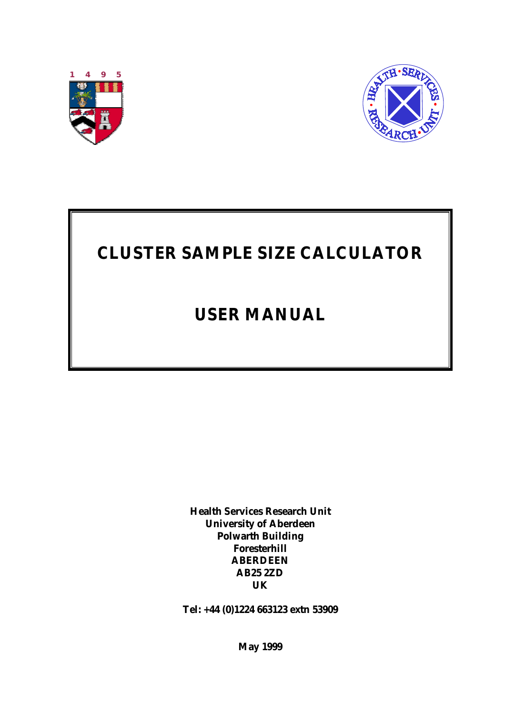



# **CLUSTER SAMPLE SIZE CALCULATOR**

## **USER MANUAL**

**Health Services Research Unit University of Aberdeen Polwarth Building Foresterhill ABERDEEN AB25 2ZD UK**

**Tel: +44 (0)1224 663123 extn 53909**

**May 1999**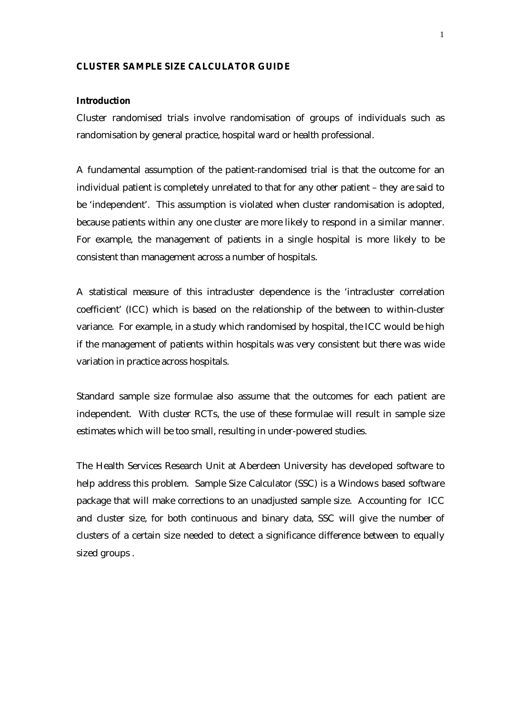#### **CLUSTER SAMPLE SIZE CALCULATOR GUIDE**

#### **Introduction**

Cluster randomised trials involve randomisation of groups of individuals such as randomisation by general practice, hospital ward or health professional.

A fundamental assumption of the patient-randomised trial is that the outcome for an individual patient is completely unrelated to that for any other patient – they are said to be 'independent'. This assumption is violated when cluster randomisation is adopted, because patients within any one cluster are more likely to respond in a similar manner. For example, the management of patients in a single hospital is more likely to be consistent than management across a number of hospitals.

A statistical measure of this intracluster dependence is the 'intracluster correlation coefficient' (ICC) which is based on the relationship of the between to within-cluster variance. For example, in a study which randomised by hospital, the ICC would be high if the management of patients within hospitals was very consistent but there was wide variation in practice across hospitals.

Standard sample size formulae also assume that the outcomes for each patient are independent. With cluster RCTs, the use of these formulae will result in sample size estimates which will be too small, resulting in under-powered studies.

The Health Services Research Unit at Aberdeen University has developed software to help address this problem. Sample Size Calculator (SSC) is a Windows based software package that will make corrections to an unadjusted sample size. Accounting for ICC and cluster size, for both continuous and binary data, SSC will give the number of clusters of a certain size needed to detect a significance difference between to equally sized groups .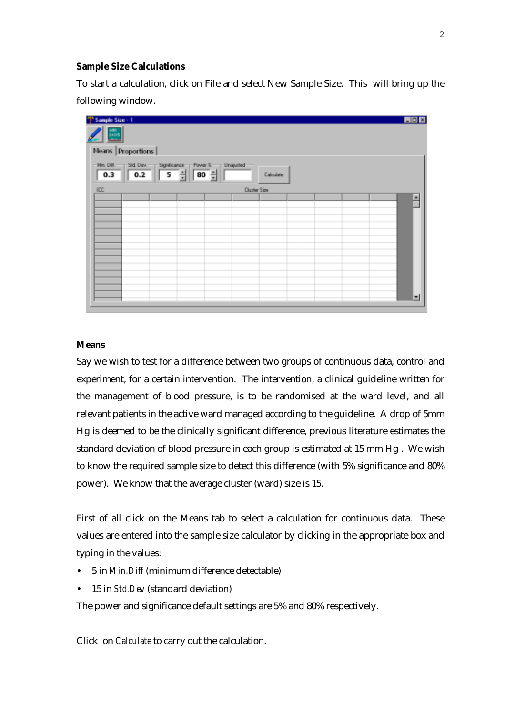#### **Sample Size Calculations**

To start a calculation, click on File and select New Sample Size. This will bring up the following window.



### **Means**

Say we wish to test for a difference between two groups of continuous data, control and experiment, for a certain intervention. The intervention, a clinical guideline written for the management of blood pressure, is to be randomised at the ward level, and all relevant patients in the active ward managed according to the guideline. A drop of 5mm Hg is deemed to be the clinically significant difference, previous literature estimates the standard deviation of blood pressure in each group is estimated at 15 mm Hg . We wish to know the required sample size to detect this difference (with 5% significance and 80% power). We know that the average cluster (ward) size is 15.

First of all click on the Means tab to select a calculation for continuous data. These values are entered into the sample size calculator by clicking in the appropriate box and typing in the values:

- 5 in *Min.Diff* (minimum difference detectable)
- 15 in *Std.Dev* (standard deviation)

The power and significance default settings are 5% and 80% respectively.

Click on *Calculate* to carry out the calculation.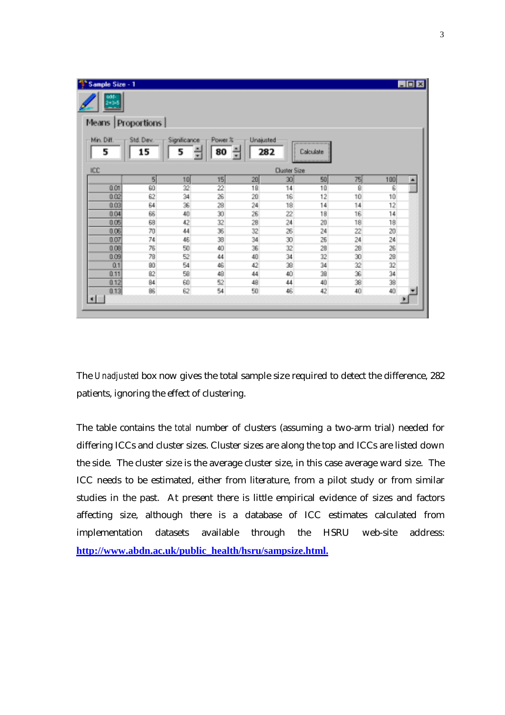| <sup>4</sup> Sample Size - 1<br>odd:<br>$2 + 3 + 5$<br>حد |                 |                   |               |                  |                     |           |                 |     | <b>LDX</b> |
|-----------------------------------------------------------|-----------------|-------------------|---------------|------------------|---------------------|-----------|-----------------|-----|------------|
| Means Proportions                                         |                 |                   |               |                  |                     |           |                 |     |            |
| Min. Diff.<br>5                                           | Std. Dev.<br>15 | Significance<br>5 | Power %<br>80 | Unajusted<br>282 |                     | Calculate |                 |     |            |
| ICC                                                       |                 |                   |               |                  | <b>Cluster Size</b> |           |                 |     |            |
|                                                           | $\sqrt{5}$      | 10                | 15            | 20               | 30 <sup>1</sup>     | 50        | 75              | 100 |            |
| 0.01                                                      | 60              | 32                | 22            | 18               | 14                  | 10        | 8               | 6   |            |
| 0.02                                                      | 62              | 34                | 26            | 20               | 16                  | 12        | 10              | 10  |            |
| 0.03                                                      | 64              | 36                | 28            | 24               | 18                  | 14        | 14              | 12  |            |
| 0.04                                                      | 66              | 40 <sub>1</sub>   | 30            | 26               | 22                  | 18        | 16              | 14  |            |
| 0.05                                                      | 68              | 42                | 32            | 28               | 24                  | 20        | 18              | 18  |            |
| 0.06                                                      | 70              | 44                | 36            | 32               | 26                  | 24        | 22              | 20  |            |
| 0.07                                                      | 74              | 46                | 38            | 34               | 30                  | 26        | 24              | 24  |            |
| 0.08                                                      | 76              | 50                | 40            | 36               | 32                  | 28        | 28              | 26  |            |
| 0.09                                                      | 78              | 52                | 44            | 40               | 34                  | 32        | 30 <sup>°</sup> | 28  |            |
| 0.1                                                       | 80              | 54                | 46            | 42               | 38                  | 34        | 32              | 32  |            |
| 0.11                                                      | 82              | 58                | 48            | 44               | 40                  | 38        | 36              | 34  |            |
| 0.12                                                      | 84              | 60                | 52            | 48               | 44                  | 40        | 38              | 38  |            |
| 0.13                                                      | 86              | 62                | 54            | 50               | 46                  | 42        | 40              | 40  |            |
| $\blacksquare$                                            |                 |                   |               |                  |                     |           |                 |     |            |

The *Unadjusted* box now gives the total sample size required to detect the difference, 282 patients, ignoring the effect of clustering.

The table contains the *total* number of clusters (assuming a two-arm trial) needed for differing ICCs and cluster sizes. Cluster sizes are along the top and ICCs are listed down the side. The cluster size is the average cluster size, in this case average ward size. The ICC needs to be estimated, either from literature, from a pilot study or from similar studies in the past. At present there is little empirical evidence of sizes and factors affecting size, although there is a database of ICC estimates calculated from implementation datasets available through the HSRU web-site address: **http://www.abdn.ac.uk/public\_health/hsru/sampsize.html.**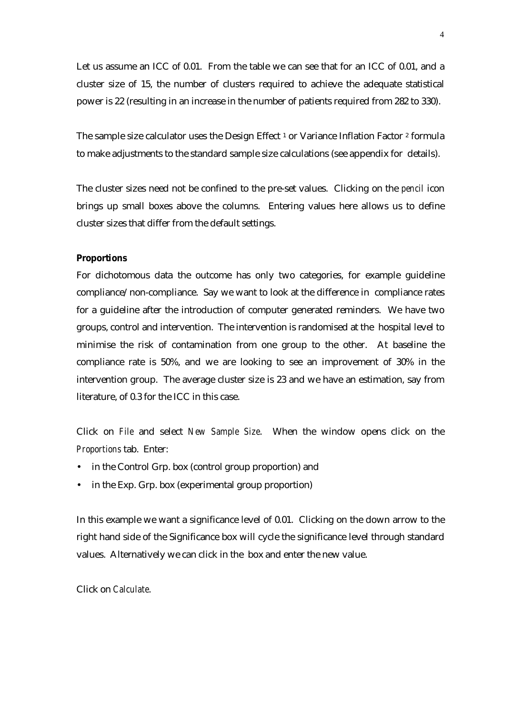Let us assume an ICC of 0.01. From the table we can see that for an ICC of 0.01, and a cluster size of 15, the number of clusters required to achieve the adequate statistical power is 22 (resulting in an increase in the number of patients required from 282 to 330).

The sample size calculator uses the Design Effect<sup>1</sup> or Variance Inflation Factor<sup>2</sup> formula to make adjustments to the standard sample size calculations (see appendix for details).

The cluster sizes need not be confined to the pre-set values. Clicking on the *pencil* icon brings up small boxes above the columns. Entering values here allows us to define cluster sizes that differ from the default settings.

#### **Proportions**

For dichotomous data the outcome has only two categories, for example guideline compliance/non-compliance. Say we want to look at the difference in compliance rates for a guideline after the introduction of computer generated reminders. We have two groups, control and intervention. The intervention is randomised at the hospital level to minimise the risk of contamination from one group to the other. At baseline the compliance rate is 50%, and we are looking to see an improvement of 30% in the intervention group. The average cluster size is 23 and we have an estimation, say from literature, of 0.3 for the ICC in this case.

Click on *File* and select *New Sample Size*. When the window opens click on the *Proportions* tab. Enter:

- in the Control Grp. box (control group proportion) and
- in the Exp. Grp. box (experimental group proportion)

In this example we want a significance level of 0.01. Clicking on the down arrow to the right hand side of the Significance box will cycle the significance level through standard values. Alternatively we can click in the box and enter the new value.

Click on *Calculate*.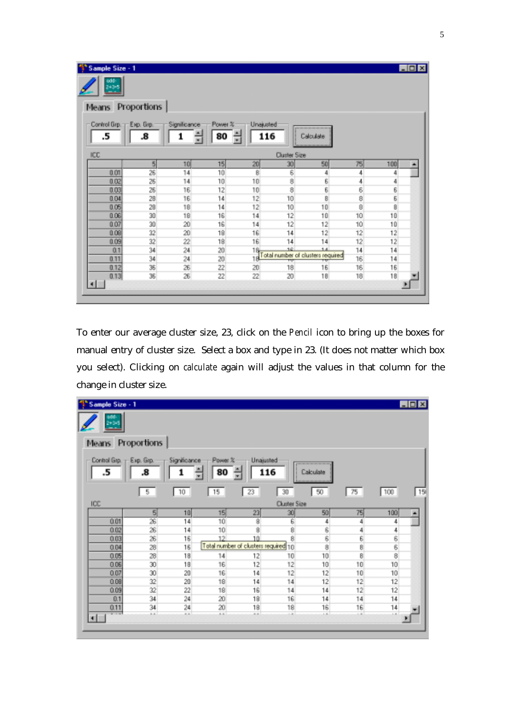| Sample Size - 1                |    |                   |                    |                  |              |                                         |        |     | $\Box$ o $\times$ |
|--------------------------------|----|-------------------|--------------------|------------------|--------------|-----------------------------------------|--------|-----|-------------------|
| odd -<br>240+5                 |    |                   |                    |                  |              |                                         |        |     |                   |
| Means Proportions              |    |                   |                    |                  |              |                                         |        |     |                   |
| Control Grp. - Exp. Grp.<br>.5 | .8 | Significance<br>1 | Power %<br>80<br>÷ | Unajusted<br>116 |              | Calculate                               |        |     |                   |
| ICC                            |    |                   |                    |                  | Cluster Size |                                         |        |     |                   |
|                                | 5  | 10                | 15                 | 20               | 30           | 50                                      | 75     | 100 |                   |
| 0.01                           | 26 | 14                | 10                 | 8                | 6            | 4                                       | 4      | 4   |                   |
| 0.02                           | 26 | 14                | 10                 | 10 <sub>1</sub>  | 8            | 6                                       | 4      | 4   |                   |
| 0.03                           | 26 | 16                | 12                 | 10 <sub>1</sub>  | 8            | 6                                       | 6<br>8 | 6   |                   |
| 0.04                           | 28 | 16                | 14                 | 12               | 10           | B)                                      |        | 6   |                   |
| 0.05                           | 28 | 18                | 14                 | 12               | 10           | 10                                      | 8      | 8   |                   |
| 0.06                           | 30 | 18                | 16                 | 14               | 12           | 10                                      | 10     | 10  |                   |
| 0.07                           | 30 | 20 <sup>°</sup>   | 16                 | 14               | 12           | 12                                      | 10     | 10  |                   |
| 0.08                           | 32 | 20                | 18                 | 16               | 14           | 12                                      | 12     | 12  |                   |
| 0.09                           | 32 | 22                | 18                 | 16               | 14           | 14                                      | 12     | 12  |                   |
| 0.1                            | 34 | $\overline{24}$   | 20                 | 18.              | 16           | 14                                      | 14     | 14  |                   |
| 0.11                           | 34 | 24                | 20                 |                  | ᠇ᢦ           | Total number of clusters required<br>ŦU | 16     | 14  |                   |
| 0.12                           | 36 | 26                | 22                 | 20 <sub>1</sub>  | 18           | 16                                      | 16     | 16  |                   |
| 0.13                           | 36 | 26                | 22                 | 22               | 20           | 18                                      | 18     | 18  |                   |
| ⊣                              |    |                   |                    |                  |              |                                         |        |     |                   |

To enter our average cluster size, 23, click on the *Pencil* icon to bring up the boxes for manual entry of cluster size. Select a box and type in 23. (It does not matter which box you select). Clicking on *calculate* again will adjust the values in that column for the change in cluster size.

| <sup>4</sup> <sup>*</sup> Sample Size - 1 |                 |                   |                 |                                      |                     |                |               |                   | $\Box$ DIX |
|-------------------------------------------|-----------------|-------------------|-----------------|--------------------------------------|---------------------|----------------|---------------|-------------------|------------|
| đđ<br>24345                               |                 |                   |                 |                                      |                     |                |               |                   |            |
| Means                                     | Proportions     |                   |                 |                                      |                     |                |               |                   |            |
| Control Gip. - Exp. Gip.<br>.5            | 8.              | Significance<br>1 | Power %<br>80   | Unajusted<br>116                     |                     | Calculate      |               |                   |            |
|                                           | 5               | 10                | 15              | 23                                   | 30                  | 50             | 75            | 100               | 15         |
| ICC                                       |                 |                   |                 |                                      | <b>Cluster Size</b> |                |               |                   |            |
|                                           | 5 <sup>1</sup>  | 10                | 15              | 23                                   | 30                  | 50             | 75            | 100               | ٠          |
| 0.01                                      | 26              | 14                | 10              | 8                                    | 6                   | 4              | 4             | 4                 |            |
| 0.02                                      | $\frac{26}{26}$ | 14                | 10              | $\overline{\mathbf{8}}$              | 8                   | 6              | 4             | 4                 |            |
| 0.03                                      |                 | 16                | 12 <sup>2</sup> | $10^{-1}$                            | $\overline{8}$      | $\overline{6}$ | $\frac{6}{8}$ | 6                 |            |
| 0.04                                      | 28              | 16                |                 | Total number of clusters required 10 |                     | 8              |               | 6                 |            |
| 0.05                                      | 28              | 18                | 14              | 12                                   | 10 <sup>1</sup>     | 10             | 8             | 8                 |            |
| 0.06                                      | 30              | 18                | 16              | 12                                   | 12                  | 10             | 10            | 10                |            |
| 0.07                                      | 30              | 20                | 16              | 14                                   | 12                  | 12             | 10            | 10                |            |
| 0.08                                      | 32              | 20                | 18              | 14                                   | 14                  | 12             | 12            | $12 \overline{ }$ |            |
| 0.09                                      | 32              | 22                | 18              | 16                                   | 14                  | 14             | 12            | 12                |            |
| 0.1                                       | 34              | 24                | 20              | 18                                   | 16                  | 14             | 14            | 14                |            |
| 0.11                                      | 34              | 24                | 20              | 18                                   | 18                  | 16             | 16            | 14                |            |
| $-1$<br>۰                                 | $\sim$          | $\overline{a}$    | $A - B$         | $\overline{a}$                       | $\overline{a}$      | $\overline{1}$ | $\sim$        | $\overline{1}$    |            |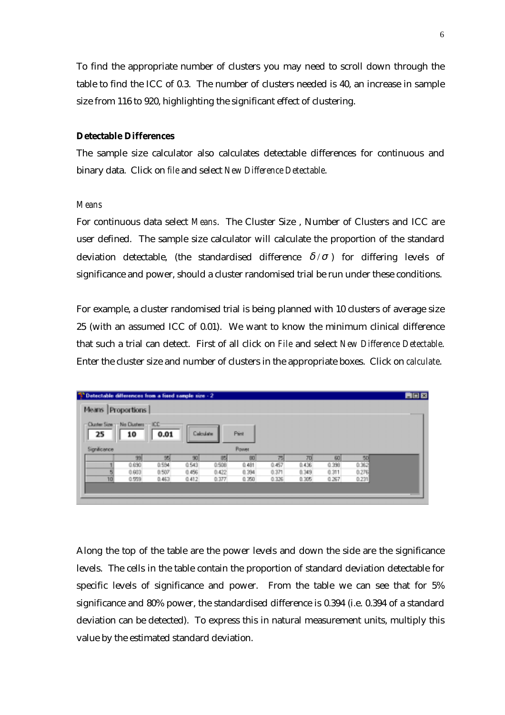To find the appropriate number of clusters you may need to scroll down through the table to find the ICC of 0.3. The number of clusters needed is 40, an increase in sample size from 116 to 920, highlighting the significant effect of clustering.

### **Detectable Differences**

The sample size calculator also calculates detectable differences for continuous and binary data. Click on *file* and select *New Difference Detectable*.

#### *Means*

For continuous data select *Means*. The Cluster Size , Number of Clusters and ICC are user defined. The sample size calculator will calculate the proportion of the standard deviation detectable, (the standardised difference  $\delta/\sigma$ ) for differing levels of significance and power, should a cluster randomised trial be run under these conditions.

For example, a cluster randomised trial is being planned with 10 clusters of average size 25 (with an assumed ICC of 0.01). We want to know the minimum clinical difference that such a trial can detect. First of all click on *File* and select *New Difference Detectable*. Enter the cluster size and number of clusters in the appropriate boxes. Click on *calculate*.

| Means              | Proportions                            |       |                 |       |               |       |       |       |       |
|--------------------|----------------------------------------|-------|-----------------|-------|---------------|-------|-------|-------|-------|
| 25<br>Significance | Cluster Size - No Clusters - ICC<br>10 | 0.01  | Calculate       |       | Pint<br>Power |       |       |       |       |
|                    | 39                                     | 95    | 90 <sub>1</sub> | 85    | 80            | 75    | 70    | 60    | 50    |
|                    | 0.690                                  | 0.594 | 0.543           | 0.508 | 0.481         | 0.457 | 0.436 | 0.398 | 0.362 |
|                    | 0.603                                  | 0.507 | 0.456           | 0.422 | 0.394         | 0.371 | 0.349 | 0.311 | 0.276 |
|                    |                                        | 0.463 | 0.412           | 0.377 | 0.350         | 0.326 | 0.305 | 0.267 | 0.231 |

Along the top of the table are the power levels and down the side are the significance levels. The cells in the table contain the proportion of standard deviation detectable for specific levels of significance and power. From the table we can see that for 5% significance and 80% power, the standardised difference is 0.394 (i.e. 0.394 of a standard deviation can be detected). To express this in natural measurement units, multiply this value by the estimated standard deviation.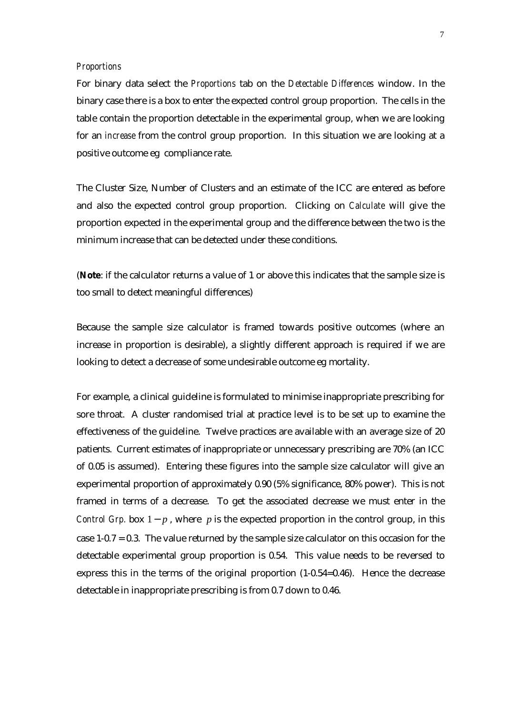#### *Proportions*

For binary data select the *Proportions* tab on the *Detectable Differences* window. In the binary case there is a box to enter the expected control group proportion. The cells in the table contain the proportion detectable in the experimental group, when we are looking for an *increase* from the control group proportion. In this situation we are looking at a positive outcome eg compliance rate.

The Cluster Size, Number of Clusters and an estimate of the ICC are entered as before and also the expected control group proportion. Clicking on *Calculate* will give the proportion expected in the experimental group and the difference between the two is the minimum increase that can be detected under these conditions.

(**Note**: if the calculator returns a value of 1 or above this indicates that the sample size is too small to detect meaningful differences)

Because the sample size calculator is framed towards positive outcomes (where an increase in proportion is desirable), a slightly different approach is required if we are looking to detect a decrease of some undesirable outcome eg mortality.

For example, a clinical guideline is formulated to minimise inappropriate prescribing for sore throat. A cluster randomised trial at practice level is to be set up to examine the effectiveness of the guideline. Twelve practices are available with an average size of 20 patients. Current estimates of inappropriate or unnecessary prescribing are 70% (an ICC of 0.05 is assumed). Entering these figures into the sample size calculator will give an experimental proportion of approximately 0.90 (5% significance, 80% power). This is not framed in terms of a decrease. To get the associated decrease we must enter in the *Control Grp.* box 1− *p*, where *p* is the expected proportion in the control group, in this case 1-0.7 = 0.3. The value returned by the sample size calculator on this occasion for the detectable experimental group proportion is 0.54. This value needs to be reversed to express this in the terms of the original proportion (1-0.54=0.46). Hence the decrease detectable in inappropriate prescribing is from 0.7 down to 0.46.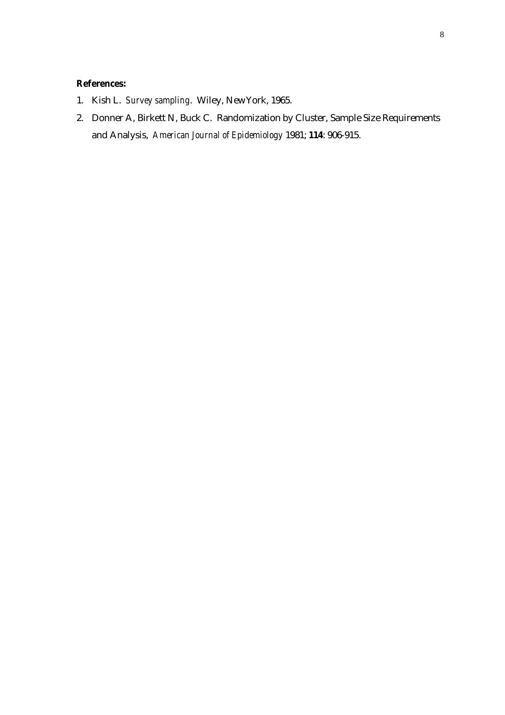## **References:**

- 1. Kish L. *Survey sampling*. Wiley, NewYork, 1965.
- 2. Donner A, Birkett N, Buck C. Randomization by Cluster, Sample Size Requirements and Analysis, *American Journal of Epidemiology* 1981; **114**: 906-915.